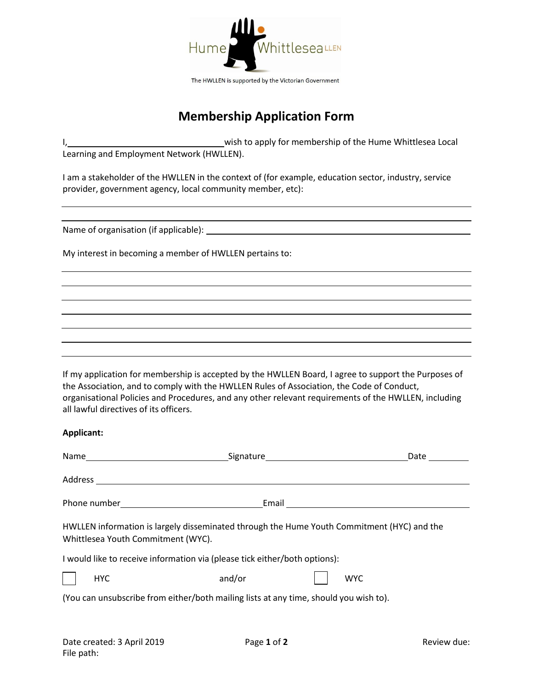

# **Membership Application Form**

wish to apply for membership of the Hume Whittlesea Local Learning and Employment Network (HWLLEN).

I am a stakeholder of the HWLLEN in the context of (for example, education sector, industry, service provider, government agency, local community member, etc):

Name of organisation (if applicable): \_\_\_\_

My interest in becoming a member of HWLLEN pertains to:

If my application for membership is accepted by the HWLLEN Board, I agree to support the Purposes of the Association, and to comply with the HWLLEN Rules of Association, the Code of Conduct, organisational Policies and Procedures, and any other relevant requirements of the HWLLEN, including all lawful directives of its officers.

### **Applicant:**

|                                                                                                                                  | Signature Contain and Signature Contains and Signature Contains and Signature Contains and Signature Contains and Signature Contains and Signature Contains and Signature Contains and Signature Contains and Signature Contai |                                        | Date |  |  |
|----------------------------------------------------------------------------------------------------------------------------------|--------------------------------------------------------------------------------------------------------------------------------------------------------------------------------------------------------------------------------|----------------------------------------|------|--|--|
|                                                                                                                                  |                                                                                                                                                                                                                                |                                        |      |  |  |
|                                                                                                                                  |                                                                                                                                                                                                                                | Email <u>_________________________</u> |      |  |  |
| HWLLEN information is largely disseminated through the Hume Youth Commitment (HYC) and the<br>Whittlesea Youth Commitment (WYC). |                                                                                                                                                                                                                                |                                        |      |  |  |
| I would like to receive information via (please tick either/both options):                                                       |                                                                                                                                                                                                                                |                                        |      |  |  |
| <b>HYC</b>                                                                                                                       | and/or                                                                                                                                                                                                                         | <b>WYC</b>                             |      |  |  |
| (You can unsubscribe from either/both mailing lists at any time, should you wish to).                                            |                                                                                                                                                                                                                                |                                        |      |  |  |